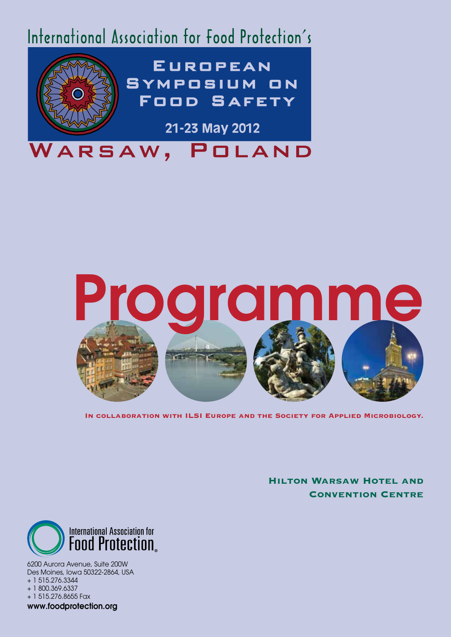# International Association for Food Protection's



**EUROPEAN** SYMPOSIUM ON **FOOD SAFETY** 

21-23 May 2012

### WARSAW, POLAND



In collaboration with ILSI Europe and the Society for Applied Microbiology.

Hilton Warsaw Hotel and Convention Centre



6200 Aurora Avenue, Suite 200W Des Moines, Iowa 50322-2864, USA + 1 515.276.3344 + 1 800.369.6337 + 1 515.276.8655 Fax www.foodprotection.org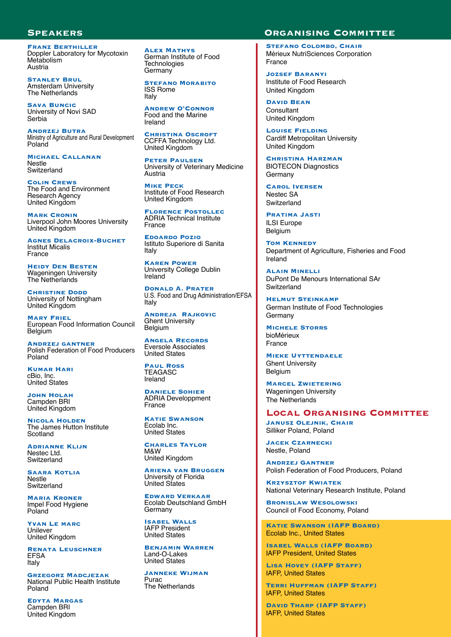#### **SPEAKERS**

Franz Berthiller Doppler Laboratory for Mycotoxin Metabolism Austria

**STANLEY BRUL** Amsterdam University The Netherlands

Sava Buncic University of Novi SAD Serbia

Andrzej Butra Ministry of Agriculture and Rural Development Poland

Michael Callanan Nestle **Switzerland** 

Colin Crews The Food and Environment Research Agency United Kingdom

**MARK CRONIN** Liverpool John Moores University United Kingdom

Agnes Delacroix-Buchet Institut Micalis France

Heidy Den Besten Wageningen University The Netherlands

**CHRISTINE DODD** University of Nottingham United Kingdom

**MARY FRIEL** European Food Information Council Belgium

Andrzej gantner Polish Federation of Food Producers Poland

Kumar Hari cBio, Inc. United States

John Holah Campden BRI United Kingdom

Nicola Holden The James Hutton Institute **Scotland** 

Adrianne Klijn Nestec Ltd. **Switzerland** 

SAARA KOTLIA **Nestle Switzerland** 

Maria Kroner Impel Food Hygiene Poland

Yvan Le marc Unilever United Kingdom

Renata Leuschner EFSA Italy

Grzegorz Madcjezak National Public Health Institute Poland

Edyta Margas Campden BRI United Kingdom

Alex Mathys German Institute of Food **Technologies** Germany

Stefano Morabito ISS Rome Italy

Andrew O'Connor Food and the Marine Ireland

**CHRISTINA OSCROFT** CCFFA Technology Ltd. United Kingdom

Peter Paulsen University of Veterinary Medicine Austria

Mike Peck Institute of Food Research United Kingdom

Florence Postollec ADRIA Technical Institute France

Edoardo Pozio Istituto Superiore di Sanita Italy

Karen Power University College Dublin Ireland

Donald A. Prater U.S. Food and Drug Administration/EFSA Italy

Andreja Rajkovic **Ghent University** Belgium

Angela Records Eversole Associates United States

Paul Ross TEAGASC Ireland

Daniele Sohier ADRIA Developpment France

Katie Swanson Ecolab Inc. United States

Charles Taylor M&W United Kingdom

Ariena van Bruggen University of Florida United States

Edward Verkaar Ecolab Deutschland GmbH **Germany** 

Isabel Walls IAFP President United States

Benjamin Warren Land-O-Lakes United States

Janneke Wijman Purac The Netherlands

#### **ORGANISING COMMITTEE**

Stefano Colombo, Chair Mérieux NutriSciences Corporation France

Jozsef Baranyi Institute of Food Research United Kingdom

David Bean **Consultant** United Kingdom

Louise Fielding Cardiff Metropolitan University United Kingdom

Christina Harzman BIOTECON Diagnostics Germany

Carol Iversen Nestec SA Switzerland

Pratima Jasti ILSI Europe **Belgium** 

**TOM KENNEDY** Department of Agriculture, Fisheries and Food Ireland

Alain Minelli DuPont De Menours International SAr Switzerland

Helmut Steinkamp German Institute of Food Technologies **Germany** 

Michele Storrs bioMérieux France

Mieke Uyttendaele Ghent University Belgium

Marcel Zwietering Wageningen University The Netherlands

#### Local Organising Committee

Janusz Olejnik, Chair Silliker Poland, Poland

Jacek Czarnecki Nestle, Poland

Andrzej Gantner Polish Federation of Food Producers, Poland

Krzysztof Kwiatek National Veterinary Research Institute, Poland

Bronislaw Wesolowski Council of Food Economy, Poland

Katie Swanson (IAFP Board) Ecolab Inc., United States

Isabel Walls (IAFP Board) IAFP President, United States

LISA HOVEY (IAFP STAFF) IAFP, United States

Terri Huffman (IAFP Staff) IAFP, United States

David Tharp (IAFP Staff) IAFP, United States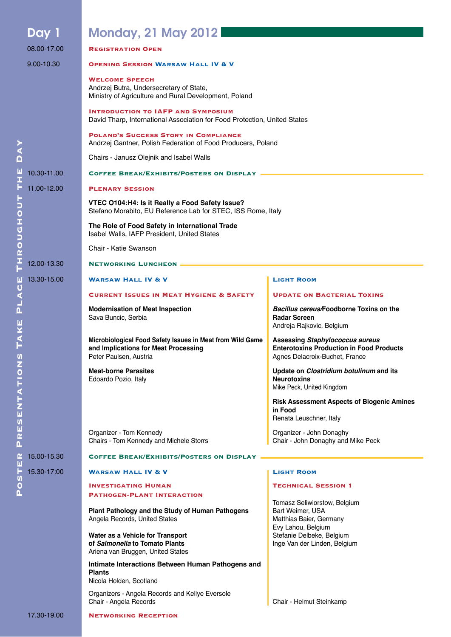| Day 1       | <b>Monday, 21 May 2012</b>                                                                                                                                                                                       |                                                                                                                             |  |
|-------------|------------------------------------------------------------------------------------------------------------------------------------------------------------------------------------------------------------------|-----------------------------------------------------------------------------------------------------------------------------|--|
| 08.00-17.00 | <b>REGISTRATION OPEN</b>                                                                                                                                                                                         |                                                                                                                             |  |
| 9.00-10.30  | <b>OPENING SESSION WARSAW HALL IV &amp; V</b>                                                                                                                                                                    |                                                                                                                             |  |
|             | <b>WELCOME SPEECH</b><br>Andrzej Butra, Undersecretary of State,<br>Ministry of Agriculture and Rural Development, Poland                                                                                        |                                                                                                                             |  |
|             | <b>INTRODUCTION TO IAFP AND SYMPOSIUM</b><br>David Tharp, International Association for Food Protection, United States                                                                                           |                                                                                                                             |  |
|             | <b>POLAND'S SUCCESS STORY IN COMPLIANCE</b><br>Andrzej Gantner, Polish Federation of Food Producers, Poland                                                                                                      |                                                                                                                             |  |
|             | Chairs - Janusz Olejnik and Isabel Walls                                                                                                                                                                         |                                                                                                                             |  |
| 10.30-11.00 | <b>COFFEE BREAK/EXHIBITS/POSTERS ON DISPLAY</b>                                                                                                                                                                  |                                                                                                                             |  |
| 11.00-12.00 | <b>PLENARY SESSION</b>                                                                                                                                                                                           |                                                                                                                             |  |
|             | VTEC 0104:H4: Is it Really a Food Safety Issue?<br>Stefano Morabito, EU Reference Lab for STEC, ISS Rome, Italy<br>The Role of Food Safety in International Trade<br>Isabel Walls, IAFP President, United States |                                                                                                                             |  |
|             |                                                                                                                                                                                                                  |                                                                                                                             |  |
|             | Chair - Katie Swanson                                                                                                                                                                                            |                                                                                                                             |  |
| 12.00-13.30 | <b>NETWORKING LUNCHEON</b>                                                                                                                                                                                       |                                                                                                                             |  |
| 13.30-15.00 | <b>WARSAW HALL IV &amp; V</b>                                                                                                                                                                                    | <b>LIGHT ROOM</b>                                                                                                           |  |
|             | <b>CURRENT ISSUES IN MEAT HYGIENE &amp; SAFETY</b>                                                                                                                                                               | <b>UPDATE ON BACTERIAL TOXINS</b>                                                                                           |  |
|             | <b>Modernisation of Meat Inspection</b><br>Sava Buncic, Serbia                                                                                                                                                   | Bacillus cereus/Foodborne Toxins on the<br><b>Radar Screen</b><br>Andreja Rajkovic, Belgium                                 |  |
|             | Microbiological Food Safety Issues in Meat from Wild Game<br>and Implications for Meat Processing<br>Peter Paulsen, Austria                                                                                      | <b>Assessing Staphylococcus aureus</b><br><b>Enterotoxins Production in Food Products</b><br>Agnes Delacroix-Buchet, France |  |
|             | <b>Meat-borne Parasites</b><br>Edoardo Pozio, Italy                                                                                                                                                              | Update on Clostridium botulinum and its<br><b>Neurotoxins</b><br>Mike Peck, United Kingdom                                  |  |
|             |                                                                                                                                                                                                                  | <b>Risk Assessment Aspects of Biogenic Amines</b><br>in Food<br>Renata Leuschner, Italy                                     |  |
|             | Organizer - Tom Kennedy<br>Chairs - Tom Kennedy and Michele Storrs                                                                                                                                               | Organizer - John Donaghy<br>Chair - John Donaghy and Mike Peck                                                              |  |
| 15.00-15.30 | <b>COFFEE BREAK/EXHIBITS/POSTERS ON DISPLAY</b>                                                                                                                                                                  |                                                                                                                             |  |
| 15.30-17:00 | <b>WARSAW HALL IV &amp; V</b>                                                                                                                                                                                    | <b>LIGHT ROOM</b>                                                                                                           |  |
|             | <b>INVESTIGATING HUMAN</b><br><b>PATHOGEN-PLANT INTERACTION</b>                                                                                                                                                  | <b>TECHNICAL SESSION 1</b>                                                                                                  |  |
|             | Plant Pathology and the Study of Human Pathogens<br>Angela Records, United States                                                                                                                                | Tomasz Seliwiorstow, Belgium<br>Bart Weimer, USA<br>Matthias Baier, Germany<br>Evy Lahou, Belgium                           |  |
|             | Water as a Vehicle for Transport<br>of Salmonella to Tomato Plants<br>Ariena van Bruggen, United States                                                                                                          | Stefanie Delbeke, Belgium<br>Inge Van der Linden, Belgium                                                                   |  |
|             | Intimate Interactions Between Human Pathogens and<br><b>Plants</b><br>Nicola Holden, Scotland                                                                                                                    |                                                                                                                             |  |
|             | Organizers - Angela Records and Kellye Eversole<br>Chair - Angela Records                                                                                                                                        | Chair - Helmut Steinkamp                                                                                                    |  |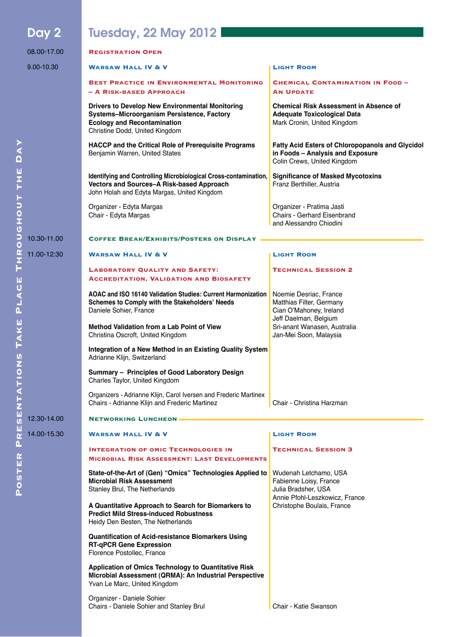| Day 2       | <b>Tuesday, 22 May 2012</b>                                                                                                                                           |                                                                                                                            |  |
|-------------|-----------------------------------------------------------------------------------------------------------------------------------------------------------------------|----------------------------------------------------------------------------------------------------------------------------|--|
| 08.00-17.00 | <b>REGISTRATION OPEN</b>                                                                                                                                              |                                                                                                                            |  |
| 9.00-10.30  | <b>WARSAW HALL IV &amp; V</b>                                                                                                                                         | <b>LIGHT ROOM</b>                                                                                                          |  |
|             | <b>BEST PRACTICE IN ENVIRONMENTAL MONITORING</b><br>- A RISK-BASED APPROACH                                                                                           | <b>CHEMICAL CONTAMINATION IN FOOD -</b><br><b>AN UPDATE</b>                                                                |  |
|             | Drivers to Develop New Environmental Monitoring<br>Systems-Microorganism Persistence, Factory<br><b>Ecology and Recontamination</b><br>Christine Dodd, United Kingdom | <b>Chemical Risk Assessment in Absence of</b><br><b>Adequate Toxicological Data</b><br>Mark Cronin, United Kingdom         |  |
|             | HACCP and the Critical Role of Prerequisite Programs<br>Benjamin Warren, United States                                                                                | <b>Fatty Acid Esters of Chloropopanols and Glycidol</b><br>in Foods - Analysis and Exposure<br>Colin Crews, United Kingdom |  |
|             | Identifying and Controlling Microbiological Cross-contamination,<br>Vectors and Sources-A Risk-based Approach<br>John Holah and Edyta Margas, United Kingdom          | <b>Significance of Masked Mycotoxins</b><br>Franz Berthiller, Austria                                                      |  |
|             | Organizer - Edyta Margas<br>Chair - Edyta Margas                                                                                                                      | Organizer - Pratima Jasti<br><b>Chairs - Gerhard Eisenbrand</b><br>and Alessandro Chiodini                                 |  |
| 10.30-11.00 | <b>COFFEE BREAK/EXHIBITS/POSTERS ON DISPLAY</b>                                                                                                                       |                                                                                                                            |  |
| 11.00-12:30 | <b>WARSAW HALL IV &amp; V</b>                                                                                                                                         | <b>LIGHT ROOM</b>                                                                                                          |  |
|             | <b>LABORATORY QUALITY AND SAFETY:</b><br><b>ACCREDITATION, VALIDATION AND BIOSAFETY</b>                                                                               | <b>TECHNICAL SESSION 2</b>                                                                                                 |  |
|             | <b>AOAC and ISO 16140 Validation Studies: Current Harmonization</b><br>Schemes to Comply with the Stakeholders' Needs<br>Daniele Sohier, France                       | Noemie Desriac, France<br>Matthias Filter, Germany<br>Cian O'Mahoney, Ireland<br>Jeff Daelman, Belgium                     |  |
|             | <b>Method Validation from a Lab Point of View</b><br>Christina Oscroft, United Kingdom                                                                                | Sri-anant Wanasen, Australia<br>Jan-Mei Soon, Malaysia                                                                     |  |
|             | Integration of a New Method in an Existing Quality System<br>Adrianne Klijn, Switzerland                                                                              |                                                                                                                            |  |
|             | Summary - Principles of Good Laboratory Design<br>Charles Taylor, United Kingdom                                                                                      |                                                                                                                            |  |
|             | Organizers - Adrianne Klijn, Carol Iversen and Frederic Martinex<br>Chairs - Adrianne Klijn and Frederic Martinez                                                     | Chair - Christina Harzman                                                                                                  |  |
| 12.30-14.00 | <b>NETWORKING LUNCHEON</b>                                                                                                                                            |                                                                                                                            |  |
| 14.00-15.30 | <b>WARSAW HALL IV &amp; V</b>                                                                                                                                         | <b>LIGHT ROOM</b>                                                                                                          |  |
|             | <b>INTEGRATION OF OMIC TECHNOLOGIES IN</b><br><b>MICROBIAL RISK ASSESSMENT: LAST DEVELOPMENTS</b>                                                                     | <b>TECHNICAL SESSION 3</b>                                                                                                 |  |
|             | State-of-the-Art of (Gen) "Omics" Technologies Applied to Wudenah Letchamo, USA<br><b>Microbial Risk Assessment</b><br>Stanley Brul, The Netherlands                  | Fabienne Loisy, France<br>Julia Bradsher, USA<br>Annie Pfohl-Leszkowicz, France<br>Christophe Boulais, France              |  |
|             | A Quantitative Approach to Search for Biomarkers to<br><b>Predict Mild Stress-induced Robustness</b><br>Heidy Den Besten, The Netherlands                             |                                                                                                                            |  |
|             | <b>Quantification of Acid-resistance Biomarkers Using</b><br><b>RT-qPCR Gene Expression</b><br>Florence Postollec, France                                             |                                                                                                                            |  |
|             | Application of Omics Technology to Quantitative Risk<br>Microbial Assessment (QRMA): An Industrial Perspective<br>Yvan Le Marc, United Kingdom                        |                                                                                                                            |  |
|             | Organizer - Daniele Sohier                                                                                                                                            |                                                                                                                            |  |

POSTER PRESENTATIONS TAKE PLACE THROUGHOUT THE DAY Poster Presentations Take Place Throughout the Day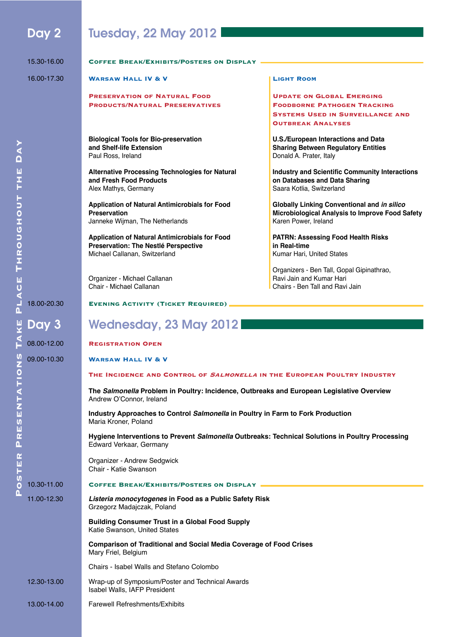| Day 2       | <b>Tuesday, 22 May 2012</b>                                                                                                 |                                                                                                                                               |  |
|-------------|-----------------------------------------------------------------------------------------------------------------------------|-----------------------------------------------------------------------------------------------------------------------------------------------|--|
| 15.30-16.00 | <b>COFFEE BREAK/EXHIBITS/POSTERS ON DISPLAY</b>                                                                             |                                                                                                                                               |  |
| 16.00-17.30 | <b>WARSAW HALL IV &amp; V</b>                                                                                               | <b>LIGHT ROOM</b>                                                                                                                             |  |
|             | <b>PRESERVATION OF NATURAL FOOD</b><br><b>PRODUCTS/NATURAL PRESERVATIVES</b>                                                | <b>UPDATE ON GLOBAL EMERGING</b><br><b>FOODBORNE PATHOGEN TRACKING</b><br><b>SYSTEMS USED IN SURVEILLANCE AND</b><br><b>OUTBREAK ANALYSES</b> |  |
|             | <b>Biological Tools for Bio-preservation</b><br>and Shelf-life Extension<br>Paul Ross, Ireland                              | <b>U.S./European Interactions and Data</b><br><b>Sharing Between Regulatory Entities</b><br>Donald A. Prater, Italy                           |  |
|             | <b>Alternative Processing Technologies for Natural</b><br>and Fresh Food Products<br>Alex Mathys, Germany                   | <b>Industry and Scientific Community Interactions</b><br>on Databases and Data Sharing<br>Saara Kotlia, Switzerland                           |  |
|             | Application of Natural Antimicrobials for Food<br><b>Preservation</b><br>Janneke Wijman, The Netherlands                    | Globally Linking Conventional and in silico<br>Microbiological Analysis to Improve Food Safety<br>Karen Power, Ireland                        |  |
|             | Application of Natural Antimicrobials for Food<br>Preservation: The Nestlé Perspective<br>Michael Callanan, Switzerland     | <b>PATRN: Assessing Food Health Risks</b><br>in Real-time<br>Kumar Hari, United States                                                        |  |
|             | Organizer - Michael Callanan<br>Chair - Michael Callanan                                                                    | Organizers - Ben Tall, Gopal Gipinathrao,<br>Ravi Jain and Kumar Hari<br>Chairs - Ben Tall and Ravi Jain                                      |  |
| 18.00-20.30 | <b>EVENING ACTIVITY (TICKET REQUIRED)</b>                                                                                   |                                                                                                                                               |  |
| Day 3       | Wednesday, 23 May 2012                                                                                                      |                                                                                                                                               |  |
| 08.00-12.00 | <b>REGISTRATION OPEN</b>                                                                                                    |                                                                                                                                               |  |
| 09.00-10.30 | <b>WARSAW HALL IV &amp; V</b>                                                                                               |                                                                                                                                               |  |
|             | THE INCIDENCE AND CONTROL OF <i>SALMONELLA</i> IN THE EUROPEAN POULTRY INDUSTRY                                             |                                                                                                                                               |  |
|             | The Salmonella Problem in Poultry: Incidence, Outbreaks and European Legislative Overview<br>Andrew O'Connor, Ireland       |                                                                                                                                               |  |
|             | Industry Approaches to Control Salmonella in Poultry in Farm to Fork Production<br>Maria Kroner, Poland                     |                                                                                                                                               |  |
|             | Hygiene Interventions to Prevent Salmonella Outbreaks: Technical Solutions in Poultry Processing<br>Edward Verkaar, Germany |                                                                                                                                               |  |
|             | Organizer - Andrew Sedgwick<br>Chair - Katie Swanson                                                                        |                                                                                                                                               |  |
| 10.30-11.00 | <b>COFFEE BREAK/EXHIBITS/POSTERS ON DISPLAY</b>                                                                             |                                                                                                                                               |  |
| 11.00-12.30 | Listeria monocytogenes in Food as a Public Safety Risk<br>Grzegorz Madajczak, Poland                                        |                                                                                                                                               |  |
|             | <b>Building Consumer Trust in a Global Food Supply</b><br>Katie Swanson, United States                                      |                                                                                                                                               |  |
|             | <b>Comparison of Traditional and Social Media Coverage of Food Crises</b><br>Mary Friel, Belgium                            |                                                                                                                                               |  |
|             | Chairs - Isabel Walls and Stefano Colombo                                                                                   |                                                                                                                                               |  |
| 12.30-13.00 | Wrap-up of Symposium/Poster and Technical Awards<br>Isabel Walls, IAFP President                                            |                                                                                                                                               |  |
| 13.00-14.00 | <b>Farewell Refreshments/Exhibits</b>                                                                                       |                                                                                                                                               |  |